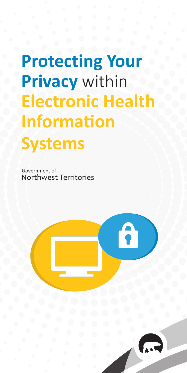# **Protecting Your Privacy** within **Electronic Health Information Systems**

Government of Northwest Territories



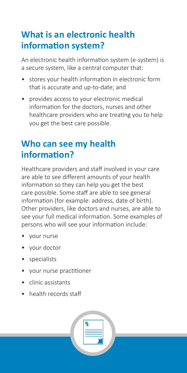## **What is an electronic health information system?**

An electronic health information system (e-system) is a secure system, like a central computer that:

- stores your health information in electronic form that is accurate and up-to-date; and
- provides access to your electronic medical information for the doctors, nurses and other healthcare providers who are treating you to help you get the best care possible.

## **Who can see my health information?**

Healthcare providers and staff involved in your care are able to see different amounts of your health information so they can help you get the best care possible. Some staff are able to see general information (for example: address, date of birth). Other providers, like doctors and nurses, are able to see your full medical information. Some examples of persons who will see your information include:

- your nurse
- your doctor
- specialists
- your nurse practitioner
- clinic assistants
- health records staff

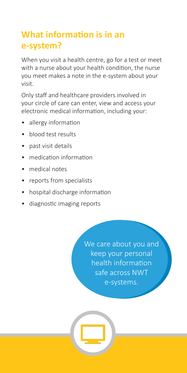## **What information is in an e-system?**

When you visit a health centre, go for a test or meet with a nurse about your health condition, the nurse you meet makes a note in the e-system about your visit.

Only staff and healthcare providers involved in your circle of care can enter, view and access your electronic medical information, including your:

- allergy information
- blood test results
- past visit details
- medication information
- medical notes
- reports from specialists
- hospital discharge information
- diagnostic imaging reports

We care about you and keep your personal health information safe across NWT e-systems.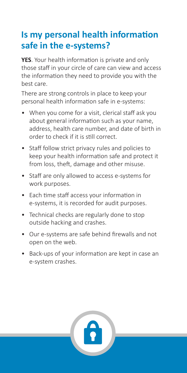## **Is my personal health information safe in the e-systems?**

**YES**. Your health information is private and only those staff in your circle of care can view and access the information they need to provide you with the best care.

There are strong controls in place to keep your personal health information safe in e-systems:

- When you come for a visit, clerical staff ask you about general information such as your name, address, health care number, and date of birth in order to check if it is still correct.
- Staff follow strict privacy rules and policies to keep your health information safe and protect it from loss, theft, damage and other misuse.
- Staff are only allowed to access e-systems for work purposes.
- Each time staff access your information in e-systems, it is recorded for audit purposes.
- Technical checks are regularly done to stop outside hacking and crashes.
- Our e-systems are safe behind firewalls and not open on the web.
- Back-ups of your information are kept in case an e-system crashes.

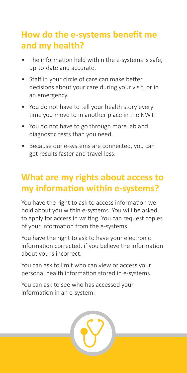## **How do the e-systems benefit me and my health?**

- The information held within the e-systems is safe, up-to-date and accurate.
- Staff in your circle of care can make better decisions about your care during your visit, or in an emergency.
- You do not have to tell your health story every time you move to in another place in the NWT.
- You do not have to go through more lab and diagnostic tests than you need.
- Because our e-systems are connected, you can get results faster and travel less.

#### **What are my rights about access to my information within e-systems?**

You have the right to ask to access information we hold about you within e-systems. You will be asked to apply for access in writing. You can request copies of your information from the e-systems.

You have the right to ask to have your electronic information corrected, if you believe the information about you is incorrect.

You can ask to limit who can view or access your personal health information stored in e-systems.

You can ask to see who has accessed your information in an e-system.